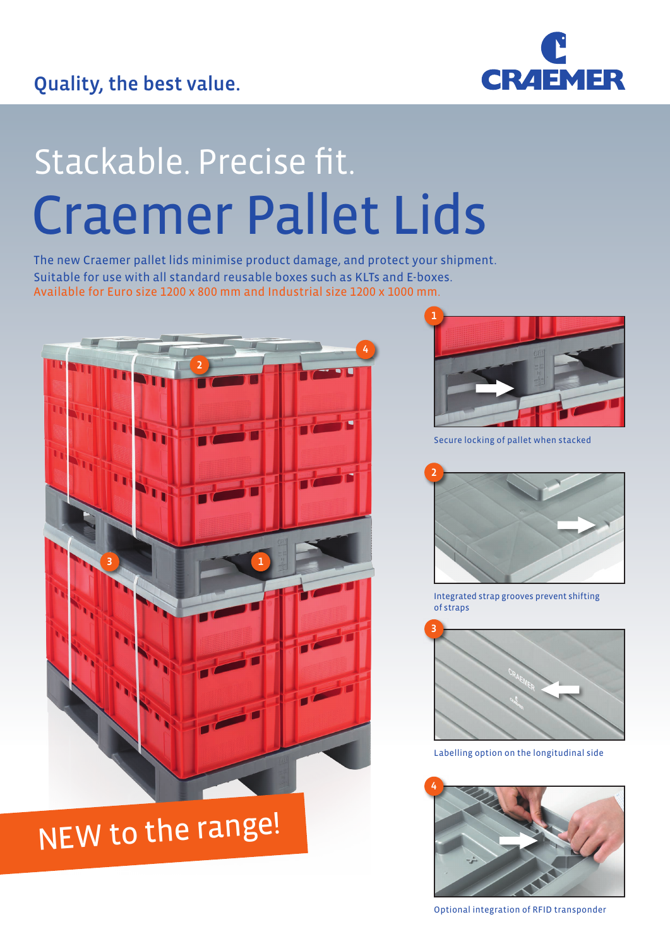

# Stackable. Precise fit. Craemer Pallet Lids

The new Craemer pallet lids minimise product damage, and protect your shipment. Suitable for use with all standard reusable boxes such as KLTs and E-boxes. Available for Euro size 1200 x 800 mm and Industrial size 1200 x 1000 mm.



## NEW to the range!



Secure locking of pallet when stacked



Integrated strap grooves prevent shifting of straps



Labelling option on the longitudinal side



Optional integration of RFID transponder